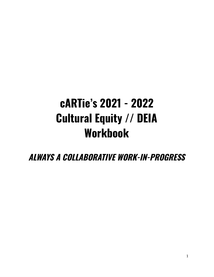# **cARTie's 2021 - 2022 Cultural Equity // DEIA Workbook**

**ALWAYS A COLLABORATIVE WORK-IN-PROGRESS**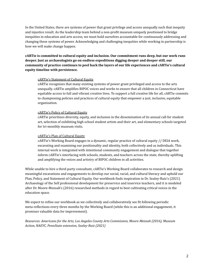In the United States, there are systems of power that grant privilege and access unequally such that inequity and injustice result. As the leadership team behind a non-profit museum uniquely positioned to bridge inequities in education and arts access, we must hold ourselves accountable for continuously addressing and changing these systems of power. Acknowledging and challenging inequities while working in partnership is how we will make change happen.

## **cARTie is committed to cultural equity and inclusion. Our commitment runs deep, but our work runs deeper. Just as archaeologists go on endless expeditions digging deeper and deeper still, our community of practice continues to peel back the layers of our life experiences and cARTie's cultural equity timeline with persistence.**

#### cARTie's Statement of Cultural Equity

cARTie recognizes that many existing systems of power grant privileged and access to the arts unequally. cARTie amplifies BIPOC voices and works to ensure that all children in Connecticut have equitable access to full and vibrant creative lives. To support a full creative life for all, cARTie commits to championing policies and practices of cultural equity that empower a just, inclusive, equitable organization.

#### cARTie's Policy of Cultural Equity

cARTie prioritizes diversity, equity, and inclusion in the dissemination of its annual call for student art, selection of exhibiting high school student artists and their art, and elementary schools targeted for tri-monthly museum visits.

#### cARTie's Plan of Cultural Equity

cARTie's Working Board engages in a dynamic, regular practice of cultural equity // DEIA work, excavating and examining our positionality and identity, both collectively and as individuals. This internal work is integrated with intentional community engagement and dialogue that together inform cARTie's interfacing with schools, students, and teachers across the state, thereby uplifting and amplifying the voices and artistry of BIPOC children in all activities.

While unable to hire a third-party consultant, cARTie's Working Board collaborates to research and design meaningful excavations and engagements to develop our social, racial, and cultural literacy and uphold our Plan, Policy, and Statement of Cultural Equity. Our workbook finds inspiration in Dr. Sealey-Ruiz's (2021) Archaeology of the Self professional development for preservice and inservice teachers, and it is modeled after Dr. Moore-Mensah's (2016) researched methods in regard to best cultivating critical voices in the education space.

We expect to refine our workbook as we collectively and collaboratively see fit following periodic meta-reflections every three months by the Working Board (while this is an additional engagement, it promises valuable data for improvement).

*Resources: Americans for the Arts, Los Angeles County Arts Commission, Moore-Mensah (2016), Museum Action, NAEYC, PennState extension, Sealey-Ruiz (2021)*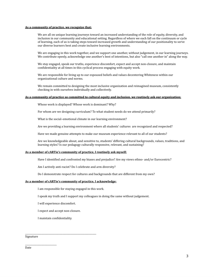#### **As a community of practice, we recognize that:**

We are all on unique learning journeys toward an increased understanding of the role of equity, diversity, and inclusion in our community and educational setting. Regardless of where we each fall on the continuum or cycle of learning, each of us is taking steps toward increased growth and understanding of our positionality to serve our diverse learners best and create inclusive learning environments.

We are engaging in this work together, and we support one another, without judgement, in our learning journeys. We contribute openly, acknowledge one another's best of intentions, but also "call one another in" along the way.

We stay engaged, speak our truths, experience discomfort, expect and accept non-closure, and maintain confidentiality at all times in this cyclical process engaging with equity work.

We are responsible for living up to our espoused beliefs and values decentering Whiteness within our organizational culture and norms.

We remain committed to designing the most inclusive organization and reimagined museum, consistently checking in with ourselves individually and collectively.

#### **As a community of practice so committed to cultural equity and inclusion, we routinely ask our organization:**

Whose work is displayed? Whose work is dominant? Why?

For whom are we designing curriculum? To what student needs do we attend primarily?

What is the social–emotional climate in our learning environment?

Are we providing a learning environment where all students' cultures are recognized and respected?

Have we made genuine attempts to make our museum experience relevant to all of our students?

Are we knowledgeable about, and sensitive to, students' differing cultural backgrounds, values, traditions, and learning styles? Is our pedagogy culturally responsive, relevant, and sustaining?

#### **As a member of cARTie's community of practice, I routinely ask myself:**

Have I identified and confronted my biases and prejudice? Are my views ethno- and/or Eurocentric?

Am I actively anti-racist? Do I celebrate and arm diversity?

Do I demonstrate respect for cultures and backgrounds that are different from my own?

#### **As a member of cARTie's community of practice, I acknowledge:**

I am responsible for staying engaged in this work.

I speak my truth and I support my colleagues in doing the same without judgement.

I will experience discomfort.

I expect and accept non-closure.

\_\_\_\_\_\_\_\_\_\_\_\_\_\_\_\_\_\_\_\_\_\_\_\_\_\_\_\_\_\_\_\_\_\_\_\_\_\_\_\_\_\_\_\_\_\_\_\_\_\_\_\_\_\_\_\_\_\_\_\_\_

I maintain confidentiality.

Signature

\_\_\_\_\_\_\_\_\_\_\_\_\_\_\_\_\_\_\_\_\_\_\_\_\_\_\_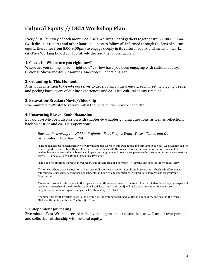# **Cultural Equity // DEIA Workshop Plan**

Every first Thursday of each month, cARTie's Working Board gathers together from 7:00-8:00pm (with director reports and other Board business to follow, all informed through the lens of cultural equity, thereafter from 8:00-9:00pm) to engage deeply in its cultural equity and inclusion work. cARTie's Working Board collaboratively devised the following plan:

## **1. Check-In: Where are you right now?**

Where are you calling in from right now? // How have you been engaging with cultural equity? Optional: Show-and-Tell Resources, Anecdotes, Reflections, Etc.

## **2. Grounding In This Moment**

Affirm our intention to devote ourselves to developing cultural equity, each meeting digging deeper and peeling back layers of our life experiences and cARTie's cultural equity timeline.

## **3. Excavation-Breaker: Movie/Video Clip**

Five minute 'Pre-Write' to record initial thoughts on the movie/video clip.

## **4. Uncovering Biases: Book Discussion**

Book-club-style open discussion with chapter-by-chapter guiding questions, as well as reflections back on cARTie and cARTie's operations.

## *Biased: Uncovering the Hidden Prejudice That Shapes What We See, Think, and Do* by Jennifer L. Eberhardt PhD

"This book helps us to scientifically view how racial bias works in our own minds and throughout society. We could not ask for a better guide to understand this reality than Jennifer Eberhardt. Her research reveals critical information that can help leaders better understand how biases can impact our judgment and how we are perceived by the communities we are sworn to serve." ~ Kamala D. Harris, United States Vice President

"The hope for progress is greatly increased by this groundbreaking new book" ~ Bryan Stevenson, author of Just Mercy

"[A] timely, exhaustive investigation of how bias infiltrates every sector of public and private life... Eberhardt offers tips for reforming business practices, police departments, and day-to-day interactions in pursuit of a fairer world for everyone." ~ Esquire.com

"Powerful…useful for those new to the topic as well as those well-versed in the topic...Eberhardt abandons the jargon-speak of academic research and speaks to the reader's head, heart, and soul...[and] will make you think about the news, your neighborhood, your workplace and yourself with fresh eyes." ~ Forbes

"Jennifer Eberhardt's work is essential to helping us understand racial inequalities in our country and around the world."  $\sim$ Michelle Alexander, author of The New Jim Crow

## **5. Independent Journaling**

Five minute 'Post-Write' to record reflective thoughts on our discussion, as well as our own personal and collective relationship with cultural equity.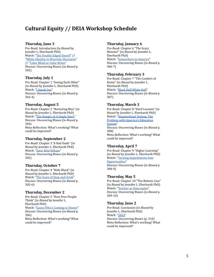# **Cultural Equity // DEIA Workshop Schedule**

#### **Thursday, June 3**

Pre-Read: Introduction (in *Biased* by Jennifer L. Eberhardt PhD) Watch: "The Double Edged Sword" // " [White Identity in Diversity Discourse](https://www.youtube.com/watch?v=2pcAxSNW83I)" // [" Color Blind or Color Brave "](https://www.ted.com/talks/mellody_hobson_color_blind_or_color_brave?language=en) Discuss: Uncovering Biases (in *Biased* p. 303)

#### **Thursday, July 1**

Pre-Read: Chapter 1 "Seeing Each Other" (in *Biased* by Jennifer L. Eberhardt PhD) Watch: "I Speak live" Discuss: Uncovering Biases (in *Biased* p. 303-4)

### **Thursday, August 5**

Pre-Read: Chapter 2 "Nurturing Bias" (in *Biased* by Jennifer L. Eberhardt PhD) Watch: "The Danger of A Single Story" Discuss: Uncovering Biases (in *Biased* p. 304) Meta-Reflection: What's working? What could be improved?

#### **Thursday, September 2**

Pre-Read: Chapter 3 "A Bad Dude" (in *Biased* by Jennifer L. Eberhardt PhD) Watch: "Amir Bilal Billups" Discuss: Uncovering Biases (in *Biased* p. 305)

#### **Thursday, October 7**

Pre-Read: Chapter 4 "Male Black" (in *Biased* by Jennifer L. Eberhardt PhD) Watch: "The Scars of Stop-and-Frisk" Discuss: Uncovering Biases (in *Biased* p. 305-6)

#### **Thursday, December 2**

Pre-Read: Chapter 5 "How Free People Think" (in *Biased* by Jennifer L. Eberhardt PhD) Watch: "Guess Who's Coming to Dinner" Discuss: Uncovering Biases (in *Biased* p. 306) Meta-Reflection: What's working? What could be improved?

#### **Thursday, January 6**

Pre-Read: Chapter 6 "The Scary Monster" (in *Biased* by Jennifer L. Eberhardt PhD) Watch: "Somewhere in America" Discuss: Uncovering Biases (in *Biased* p. 306-7)

#### **Thursday, February 3**

Pre-Read: Chapter 7 "The Comfort of Home" (in *Biased* by Jennifer L. Eberhardt PhD) Watch: "Black Doll White Doll" Discuss: Uncovering Biases (in *Biased* p. 307)

#### **Thursday, March 3**

Pre-Read: Chapter 8 "Hard Lessons" (in *Biased* by Jennifer L. Eberhardt PhD) Watch: "Standardized Testing: The [Problem with America's Education](https://www.youtube.com/watch?v=3VqrtN-w3RA)  [System "](https://www.youtube.com/watch?v=3VqrtN-w3RA) Discuss: Uncovering Biases (in *Biased* p. 308) Meta-Reflection: What's working? What could be improved?

#### **Thursday, April 7**

Pre-Read: Chapter 9 "Higher Learning" (in *Biased* by Jennifer L. Eberhardt PhD) Watch: "Turning Impediments Into Opportunities" Discuss: Uncovering Biases (in *Biased* p. 308-9)

#### **Thursday, May 5**

Pre-Read: Chapter 10 "The Bottom Line" (in *Biased* by Jennifer L. Eberhardt PhD) Watch: "Teacher as Interrupter" Discuss: Uncovering Biases (in *Biased* p. 309-10)

#### **Thursday, June 2**

Pre-Read: Conclusion (in *Biased* by Jennifer L. Eberhardt PhD) Watch: "2053" Discuss: Uncovering Biases (p. 310) Meta-Reflection: What's working? What could be improved?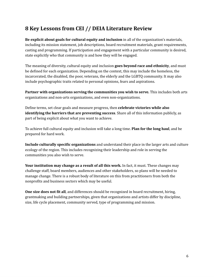# **8 Key Lessons from CEI // DEIA Literature Review**

**Be explicit about goals for cultural equity and inclusion** in all of the organization's materials, including its mission statement, job descriptions, board recruitment materials, grant requirements, casting and programming. If participation and engagement with a particular community is desired, state explicitly who that community is and how they will be engaged.

The meaning of diversity, cultural equity and inclusion **goes beyond race and ethnicity**, and must be defined for each organization. Depending on the context, this may include the homeless, the incarcerated, the disabled, the poor, veterans, the elderly and the LGBTQ community. It may also include psychographic traits related to personal opinions, fears and aspirations.

**Partner with organizations serving the communities you wish to serve.** This includes both arts organizations and non-arts organizations, and even non-organizations.

Define terms, set clear goals and measure progress, then **celebrate victories while also identifying the barriers that are preventing success**. Share all of this information publicly, as part of being explicit about what you want to achieve.

To achieve full cultural equity and inclusion will take a long time. **Plan for the long haul**, and be prepared for hard work.

**Include culturally specific organizations** and understand their place in the larger arts and culture ecology of the region. This includes recognizing their leadership and role in serving the communities you also wish to serve.

**Your institution may change as a result of all this work.** In fact, it must. These changes may challenge staff, board members, audiences and other stakeholders, so plans will be needed to manage change. There is a robust body of literature on this from practitioners from both the nonprofits and business sectors which may be useful.

**One size does not fit all**, and differences should be recognized in board recruitment, hiring, grantmaking and building partnerships, given that organizations and artists differ by discipline, size, life cycle placement, community served, type of programming and mission.